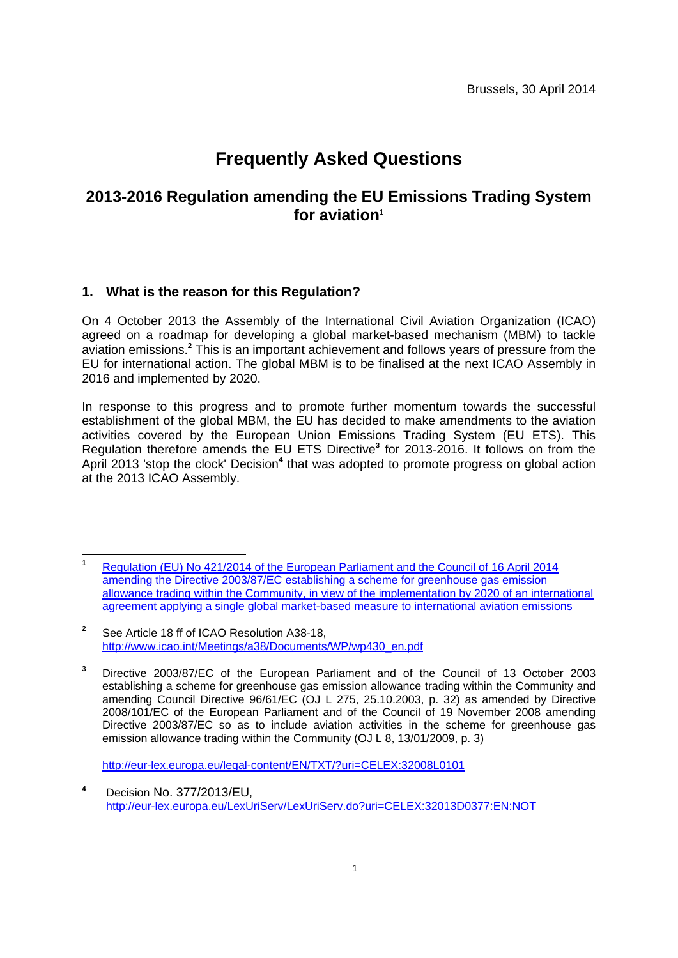# **Frequently Asked Questions**

# **2013-2016 Regulation amending the EU Emissions Trading System [for aviation](http://eur-lex.europa.eu/legal-content/EN/TXT/?uri=OJ:L:2014:129:TOC)**<sup>1</sup>

## **1. What is the reason for this Regulation?**

On 4 October 2013 the Assembly of the International Civil Aviation Organization (ICAO) agreed on a roadmap for developing a global market-based mechanism (MBM) to tackle aviation emissions.**<sup>2</sup>** This is an important achievement and follows years of pressure from the EU for international action. The global MBM is to be finalised at the next ICAO Assembly in 2016 and implemented by 2020.

In response to this progress and to promote further momentum towards the successful establishment of the global MBM, the EU has decided to make amendments to the aviation activities covered by the European Union Emissions Trading System (EU ETS). This Regulation therefore amends the EU ETS Directive<sup>3</sup> for 2013-2016. It follows on from the April 2013 'stop the clock' Decision<sup>4</sup> that was adopted to promote progress on global action at the 2013 ICAO Assembly.

<http://eur-lex.europa.eu/legal-content/EN/TXT/?uri=CELEX:32008L0101>

 **1** Regulation (EU) No 421/2014 of the European Parliament and the Council of 16 April 2014 amending the Directive 2003/87/EC establishing a scheme for greenhouse gas emission allowance trading within the Community, in view of the implementation by 2020 of an international [agreement applying a single global market-based measure to international aviation emissions](http://eur-lex.europa.eu/legal-content/EN/TXT/?uri=OJ:L:2014:129:TOC)

**<sup>2</sup>** See Article 18 ff of ICAO Resolution A38-18, [http://www.icao.int/Meetings/a38/Documents/WP/wp430\\_en.pdf](http://www.icao.int/Meetings/a38/Documents/WP/wp430_en.pdf) 

**<sup>3</sup>** Directive 2003/87/EC of the European Parliament and of the Council of 13 October 2003 establishing a scheme for greenhouse gas emission allowance trading within the Community and amending Council Directive 96/61/EC (OJ L 275, 25.10.2003, p. 32) as amended by Directive 2008/101/EC of the European Parliament and of the Council of 19 November 2008 amending Directive 2003/87/EC so as to include aviation activities in the scheme for greenhouse gas emission allowance trading within the Community (OJ L 8, 13/01/2009, p. 3)

**<sup>4</sup>** Decision No. 377/2013/EU, <http://eur-lex.europa.eu/LexUriServ/LexUriServ.do?uri=CELEX:32013D0377:EN:NOT>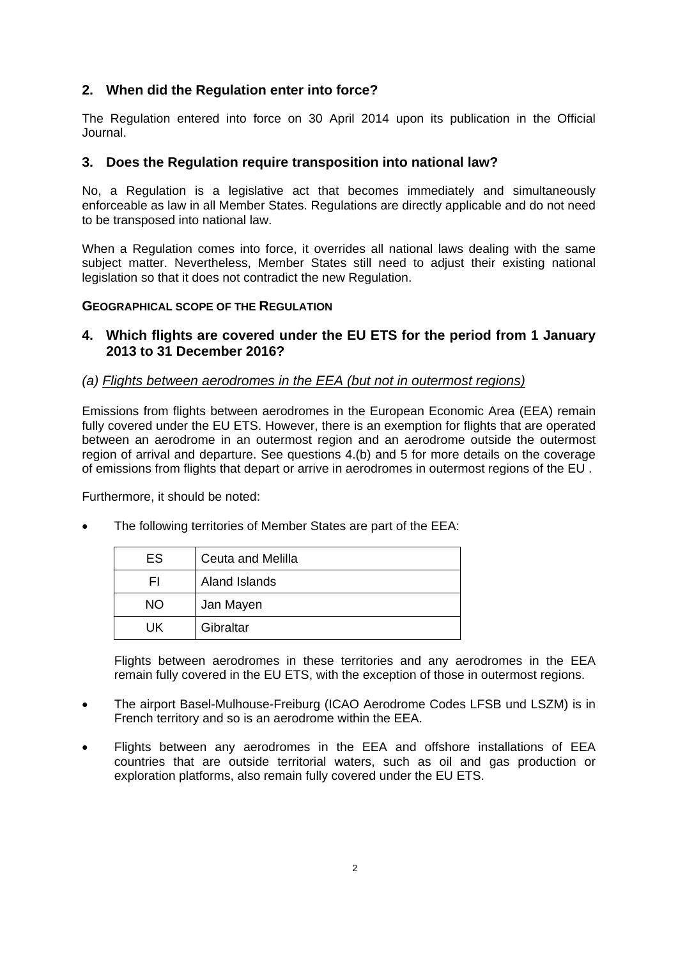### **2. When did the Regulation enter into force?**

The Regulation entered into force on 30 April 2014 upon its publication in the Official Journal.

#### **3. Does the Regulation require transposition into national law?**

No, a Regulation is a legislative act that becomes immediately and simultaneously enforceable as law in all Member States. Regulations are directly applicable and do not need to be transposed into national law.

When a Regulation comes into force, it overrides all national laws dealing with the same subject matter. Nevertheless, Member States still need to adjust their existing national legislation so that it does not contradict the new Regulation.

#### **GEOGRAPHICAL SCOPE OF THE REGULATION**

#### **4. Which flights are covered under the EU ETS for the period from 1 January 2013 to 31 December 2016?**

#### *(a) Flights between aerodromes in the EEA (but not in outermost regions)*

Emissions from flights between aerodromes in the European Economic Area (EEA) remain fully covered under the EU ETS. However, there is an exemption for flights that are operated between an aerodrome in an outermost region and an aerodrome outside the outermost region of arrival and departure. See questions 4.(b) and 5 for more details on the coverage of emissions from flights that depart or arrive in aerodromes in outermost regions of the EU .

Furthermore, it should be noted:

| ES        | Ceuta and Melilla |
|-----------|-------------------|
| ΗI        | Aland Islands     |
| <b>NO</b> | Jan Mayen         |
| UK        | Gibraltar         |

The following territories of Member States are part of the EEA:

Flights between aerodromes in these territories and any aerodromes in the EEA remain fully covered in the EU ETS, with the exception of those in outermost regions.

- The airport Basel-Mulhouse-Freiburg (ICAO Aerodrome Codes LFSB und LSZM) is in French territory and so is an aerodrome within the EEA.
- Flights between any aerodromes in the EEA and offshore installations of EEA countries that are outside territorial waters, such as oil and gas production or exploration platforms, also remain fully covered under the EU ETS.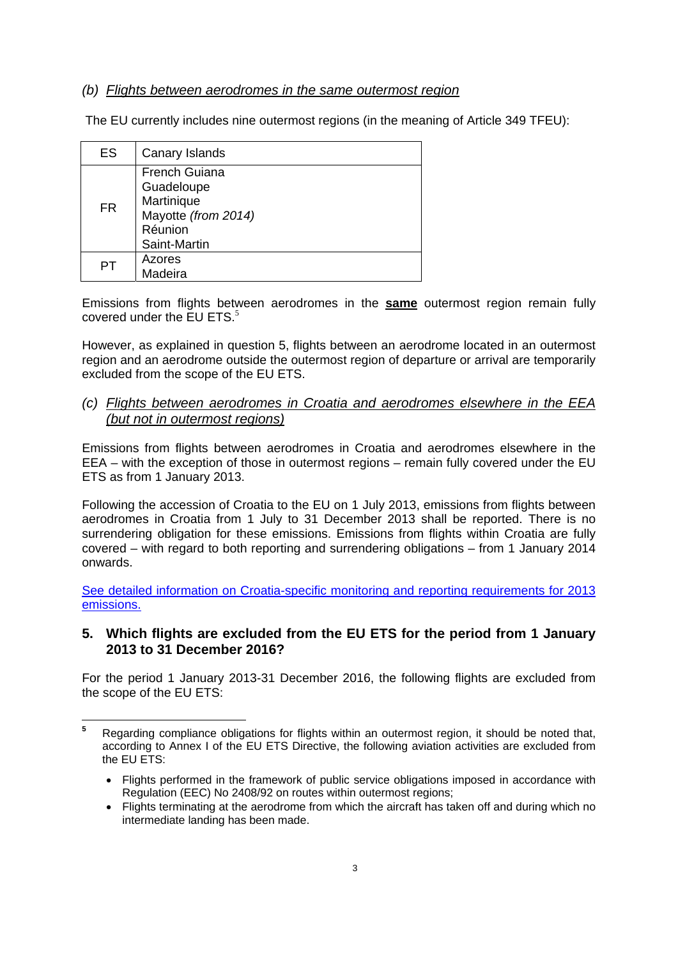#### *(b) Flights between aerodromes in the same outermost region*

The EU currently includes nine outermost regions (in the meaning of Article 349 TFEU):

| <b>ES</b> | Canary Islands                                                                                     |
|-----------|----------------------------------------------------------------------------------------------------|
| FR        | <b>French Guiana</b><br>Guadeloupe<br>Martinique<br>Mayotte (from 2014)<br>Réunion<br>Saint-Martin |
| PТ        | Azores<br>Madeira                                                                                  |

Emissions from flights between aerodromes in the **same** outermost region remain fully covered under the  $EU ETS$ .<sup>5</sup>

However, as explained in question 5, flights between an aerodrome located in an outermost region and an aerodrome outside the outermost region of departure or arrival are temporarily excluded from the scope of the EU ETS.

*(c) Flights between aerodromes in Croatia and aerodromes elsewhere in the EEA (but not in outermost regions)*

Emissions from flights between aerodromes in Croatia and aerodromes elsewhere in the EEA – with the exception of those in outermost regions – remain fully covered under the EU ETS as from 1 January 2013.

Following the accession of Croatia to the EU on 1 July 2013, emissions from flights between aerodromes in Croatia from 1 July to 31 December 2013 shall be reported. There is no surrendering obligation for these emissions. Emissions from flights within Croatia are fully covered – with regard to both reporting and surrendering obligations – from 1 January 2014 onwards.

[See detailed information on Croatia-specific monitoring and reporting requirements for 2013](http://ec.europa.eu/clima/policies/transport/aviation/croatia/index_en.htm)  [emissions.](http://ec.europa.eu/clima/policies/transport/aviation/croatia/index_en.htm) 

#### **5. Which flights are excluded from the EU ETS for the period from 1 January 2013 to 31 December 2016?**

For the period 1 January 2013-31 December 2016, the following flights are excluded from the scope of the EU ETS:

 **5** Regarding compliance obligations for flights within an outermost region, it should be noted that, according to Annex I of the EU ETS Directive, the following aviation activities are excluded from the EU ETS:

<sup>•</sup> Flights performed in the framework of public service obligations imposed in accordance with Regulation (EEC) No 2408/92 on routes within outermost regions;

<sup>•</sup> Flights terminating at the aerodrome from which the aircraft has taken off and during which no intermediate landing has been made.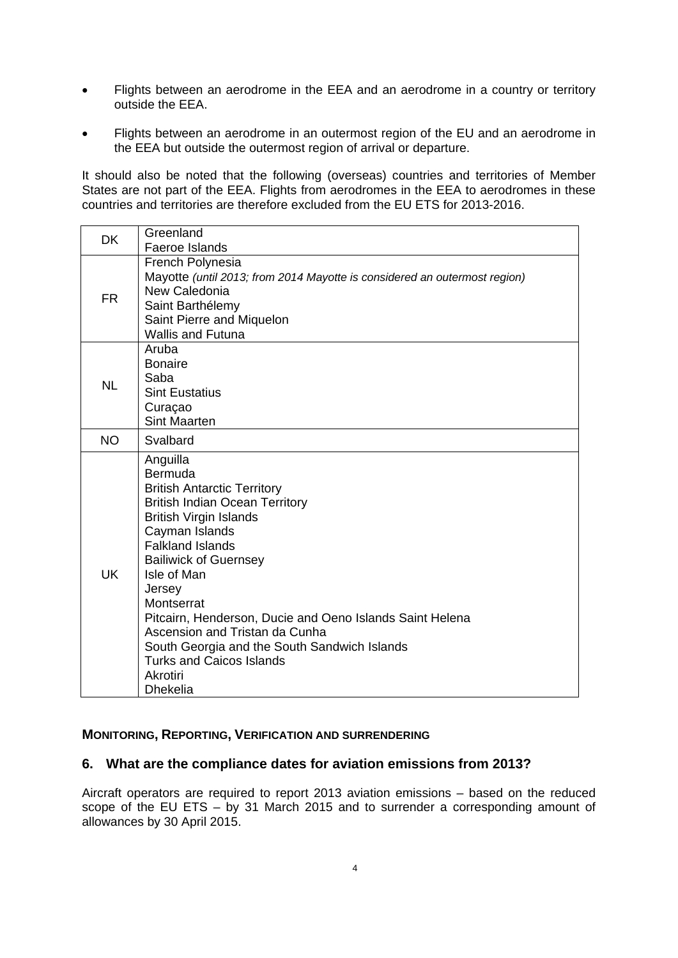- Flights between an aerodrome in the EEA and an aerodrome in a country or territory outside the EEA.
- Flights between an aerodrome in an outermost region of the EU and an aerodrome in the EEA but outside the outermost region of arrival or departure.

It should also be noted that the following (overseas) countries and territories of Member States are not part of the EEA. Flights from aerodromes in the EEA to aerodromes in these countries and territories are therefore excluded from the EU ETS for 2013-2016.

| <b>DK</b> | Greenland<br>Faeroe Islands                                                                                                                                                                                                                                                                                                                                                                                                                                             |
|-----------|-------------------------------------------------------------------------------------------------------------------------------------------------------------------------------------------------------------------------------------------------------------------------------------------------------------------------------------------------------------------------------------------------------------------------------------------------------------------------|
| <b>FR</b> | French Polynesia<br>Mayotte (until 2013; from 2014 Mayotte is considered an outermost region)<br>New Caledonia<br>Saint Barthélemy<br>Saint Pierre and Miquelon<br><b>Wallis and Futuna</b>                                                                                                                                                                                                                                                                             |
| <b>NL</b> | Aruba<br><b>Bonaire</b><br>Saba<br><b>Sint Eustatius</b><br>Curaçao<br><b>Sint Maarten</b>                                                                                                                                                                                                                                                                                                                                                                              |
| <b>NO</b> | Svalbard                                                                                                                                                                                                                                                                                                                                                                                                                                                                |
| <b>UK</b> | Anguilla<br>Bermuda<br><b>British Antarctic Territory</b><br><b>British Indian Ocean Territory</b><br><b>British Virgin Islands</b><br>Cayman Islands<br><b>Falkland Islands</b><br><b>Bailiwick of Guernsey</b><br>Isle of Man<br>Jersey<br>Montserrat<br>Pitcairn, Henderson, Ducie and Oeno Islands Saint Helena<br>Ascension and Tristan da Cunha<br>South Georgia and the South Sandwich Islands<br><b>Turks and Caicos Islands</b><br>Akrotiri<br><b>Dhekelia</b> |

#### **MONITORING, REPORTING, VERIFICATION AND SURRENDERING**

#### **6. What are the compliance dates for aviation emissions from 2013?**

Aircraft operators are required to report 2013 aviation emissions – based on the reduced scope of the EU ETS – by 31 March 2015 and to surrender a corresponding amount of allowances by 30 April 2015.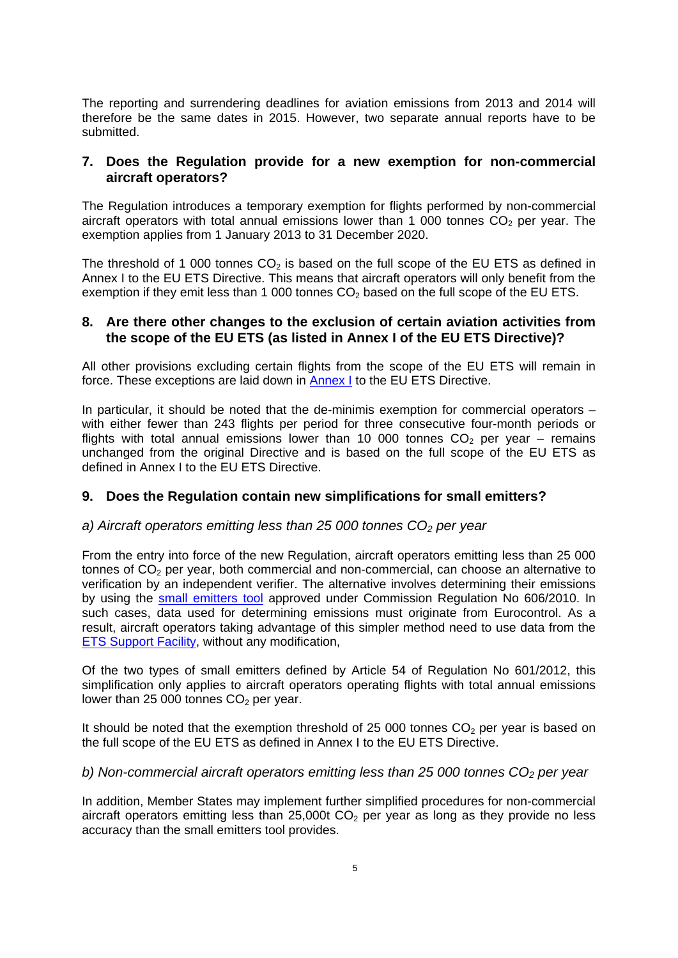The reporting and surrendering deadlines for aviation emissions from 2013 and 2014 will therefore be the same dates in 2015. However, two separate annual reports have to be submitted.

#### **7. Does the Regulation provide for a new exemption for non-commercial aircraft operators?**

The Regulation introduces a temporary exemption for flights performed by non-commercial aircraft operators with total annual emissions lower than 1 000 tonnes  $CO<sub>2</sub>$  per year. The exemption applies from 1 January 2013 to 31 December 2020.

The threshold of 1 000 tonnes  $CO<sub>2</sub>$  is based on the full scope of the EU ETS as defined in Annex I to the EU ETS Directive. This means that aircraft operators will only benefit from the exemption if they emit less than 1 000 tonnes  $CO<sub>2</sub>$  based on the full scope of the EU ETS.

#### **8. Are there other changes to the exclusion of certain aviation activities from the scope of the EU ETS (as listed in Annex I of the EU ETS Directive)?**

All other provisions excluding certain flights from the scope of the EU ETS will remain in force. These exceptions are laid down in [Annex I](http://eur-lex.europa.eu/legal-content/EN/TXT/?uri=CELEX:32008L0101) to the EU ETS Directive.

In particular, it should be noted that the de-minimis exemption for commercial operators – with either fewer than 243 flights per period for three consecutive four-month periods or flights with total annual emissions lower than 10 000 tonnes  $CO<sub>2</sub>$  per year – remains unchanged from the original Directive and is based on the full scope of the EU ETS as defined in Annex I to the EU ETS Directive.

#### **9. Does the Regulation contain new simplifications for small emitters?**

#### *a) Aircraft operators emitting less than 25 000 tonnes CO2 per year*

From the entry into force of the new Regulation, aircraft operators emitting less than 25 000 tonnes of  $CO<sub>2</sub>$  per year, both commercial and non-commercial, can choose an alternative to verification by an independent verifier. The alternative involves determining their emissions by using the [small emitters tool](https://www.eurocontrol.int/articles/small-emitters-tool) approved under Commission Regulation No 606/2010. In such cases, data used for determining emissions must originate from Eurocontrol. As a result, aircraft operators taking advantage of this simpler method need to use data from the [ETS Support Facility,](https://www.eurocontrol.int/articles/ets-support-facility) without any modification,

Of the two types of small emitters defined by Article 54 of Regulation No 601/2012, this simplification only applies to aircraft operators operating flights with total annual emissions lower than 25 000 tonnes  $CO<sub>2</sub>$  per year.

It should be noted that the exemption threshold of 25 000 tonnes  $CO<sub>2</sub>$  per year is based on the full scope of the EU ETS as defined in Annex I to the EU ETS Directive.

#### *b)* Non-commercial aircraft operators emitting less than 25 000 tonnes CO<sub>2</sub> per year

In addition, Member States may implement further simplified procedures for non-commercial aircraft operators emitting less than 25,000t  $CO<sub>2</sub>$  per year as long as they provide no less accuracy than the small emitters tool provides.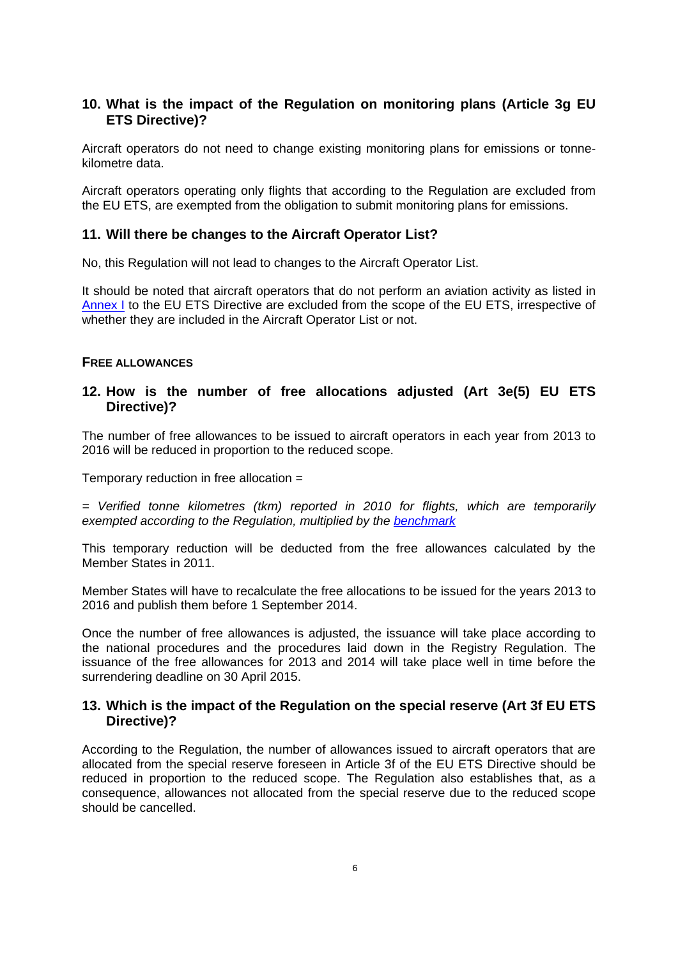### **10. What is the impact of the Regulation on monitoring plans (Article 3g EU ETS Directive)?**

Aircraft operators do not need to change existing monitoring plans for emissions or tonnekilometre data.

Aircraft operators operating only flights that according to the Regulation are excluded from the EU ETS, are exempted from the obligation to submit monitoring plans for emissions.

#### **11. Will there be changes to the Aircraft Operator List?**

No, this Regulation will not lead to changes to the Aircraft Operator List.

It should be noted that aircraft operators that do not perform an aviation activity as listed in [Annex I t](http://eur-lex.europa.eu/legal-content/EN/TXT/?uri=CELEX:32008L0101)o the EU ETS Directive are excluded from the scope of the EU ETS, irrespective of whether they are included in the Aircraft Operator List or not.

#### **FREE ALLOWANCES**

#### **12. How is the number of free allocations adjusted (Art 3e(5) EU ETS Directive)?**

The number of free allowances to be issued to aircraft operators in each year from 2013 to 2016 will be reduced in proportion to the reduced scope.

Temporary reduction in free allocation =

*= Verified tonne kilometres (tkm) reported in 2010 for flights, which are temporarily exempted according to the Regulation, multiplied by the [benchmark](http://eur-lex.europa.eu/legal-content/EN/ALL/?uri=CELEX:32011D0638)*

This temporary reduction will be deducted from the free allowances calculated by the Member States in 2011.

Member States will have to recalculate the free allocations to be issued for the years 2013 to 2016 and publish them before 1 September 2014.

Once the number of free allowances is adjusted, the issuance will take place according to the national procedures and the procedures laid down in the Registry Regulation. The issuance of the free allowances for 2013 and 2014 will take place well in time before the surrendering deadline on 30 April 2015.

#### **13. Which is the impact of the Regulation on the special reserve (Art 3f EU ETS Directive)?**

According to the Regulation, the number of allowances issued to aircraft operators that are allocated from the special reserve foreseen in Article 3f of the EU ETS Directive should be reduced in proportion to the reduced scope. The Regulation also establishes that, as a consequence, allowances not allocated from the special reserve due to the reduced scope should be cancelled.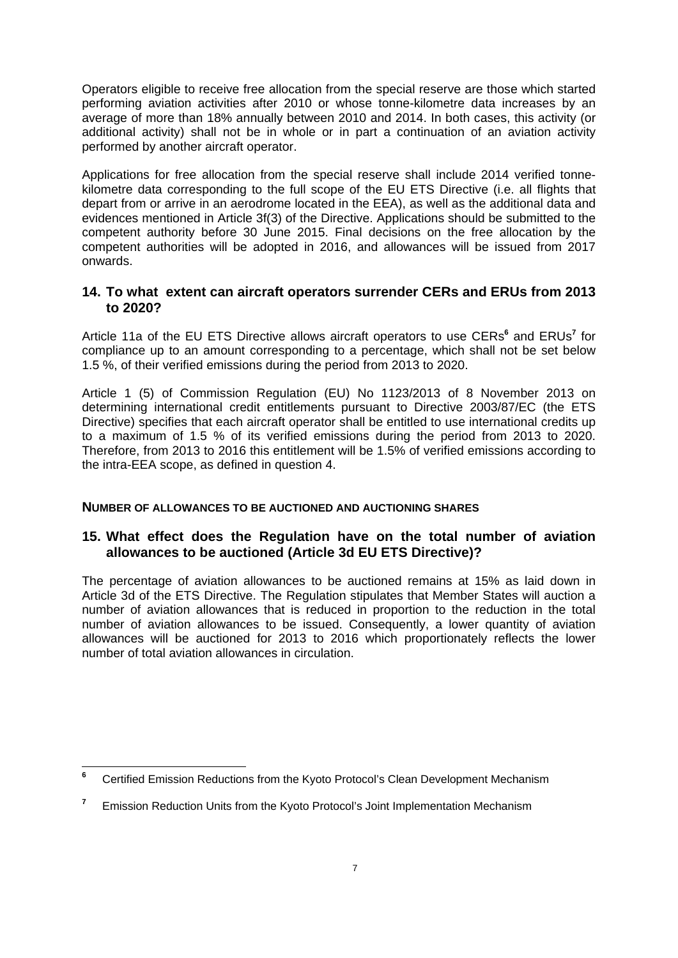Operators eligible to receive free allocation from the special reserve are those which started performing aviation activities after 2010 or whose tonne-kilometre data increases by an average of more than 18% annually between 2010 and 2014. In both cases, this activity (or additional activity) shall not be in whole or in part a continuation of an aviation activity performed by another aircraft operator.

Applications for free allocation from the special reserve shall include 2014 verified tonnekilometre data corresponding to the full scope of the EU ETS Directive (i.e. all flights that depart from or arrive in an aerodrome located in the EEA), as well as the additional data and evidences mentioned in Article 3f(3) of the Directive. Applications should be submitted to the competent authority before 30 June 2015. Final decisions on the free allocation by the competent authorities will be adopted in 2016, and allowances will be issued from 2017 onwards.

#### **14. To what extent can aircraft operators surrender CERs and ERUs from 2013 to 2020?**

Article 11a of the EU ETS Directive allows aircraft operators to use CERs<sup>6</sup> and ERUs<sup>7</sup> for compliance up to an amount corresponding to a percentage, which shall not be set below 1.5 %, of their verified emissions during the period from 2013 to 2020.

Article 1 (5) of Commission Regulation (EU) No 1123/2013 of 8 November 2013 on determining international credit entitlements pursuant to Directive 2003/87/EC (the ETS Directive) specifies that each aircraft operator shall be entitled to use international credits up to a maximum of 1.5 % of its verified emissions during the period from 2013 to 2020. Therefore, from 2013 to 2016 this entitlement will be 1.5% of verified emissions according to the intra-EEA scope, as defined in question 4.

#### **NUMBER OF ALLOWANCES TO BE AUCTIONED AND AUCTIONING SHARES**

#### **15. What effect does the Regulation have on the total number of aviation allowances to be auctioned (Article 3d EU ETS Directive)?**

The percentage of aviation allowances to be auctioned remains at 15% as laid down in Article 3d of the ETS Directive. The Regulation stipulates that Member States will auction a number of aviation allowances that is reduced in proportion to the reduction in the total number of aviation allowances to be issued. Consequently, a lower quantity of aviation allowances will be auctioned for 2013 to 2016 which proportionately reflects the lower number of total aviation allowances in circulation.

 **6** Certified Emission Reductions from the Kyoto Protocol's Clean Development Mechanism

**<sup>7</sup>** Emission Reduction Units from the Kyoto Protocol's Joint Implementation Mechanism